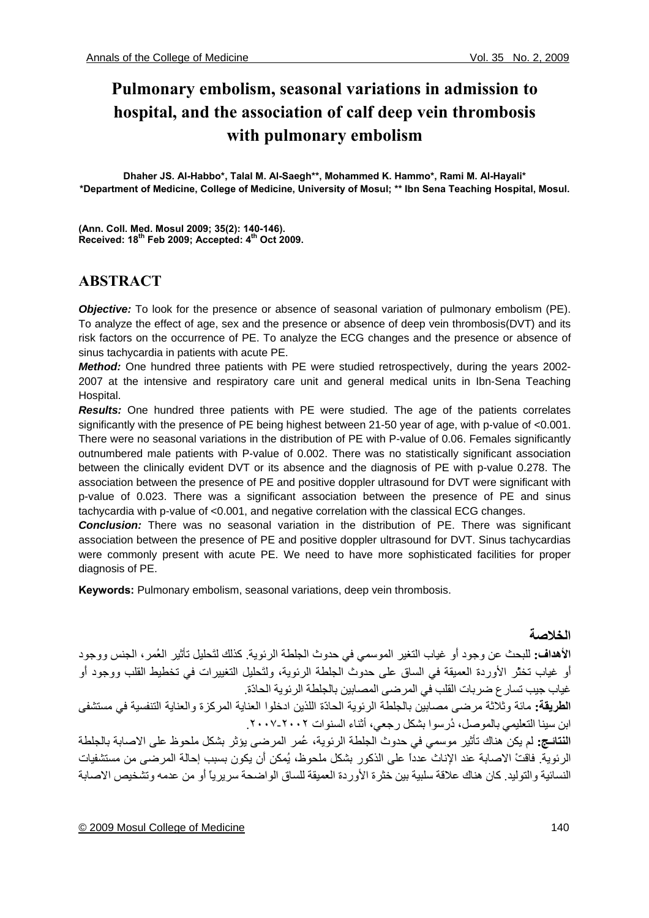# **Pulmonary embolism, seasonal variations in admission to hospital, and the association of calf deep vein thrombosis with pulmonary embolism**

**Dhaher JS. Al-Habbo\*, Talal M. Al-Saegh\*\*, Mohammed K. Hammo\*, Rami M. Al-Hayali\* \*Department of Medicine, College of Medicine, University of Mosul; \*\* Ibn Sena Teaching Hospital, Mosul.** 

**(Ann. Coll. Med. Mosul 2009; 35(2): 140-146). Received: 18th Feb 2009; Accepted: 4th Oct 2009.** 

## **ABSTRACT**

*Objective:* To look for the presence or absence of seasonal variation of pulmonary embolism (PE). To analyze the effect of age, sex and the presence or absence of deep vein thrombosis(DVT) and its risk factors on the occurrence of PE. To analyze the ECG changes and the presence or absence of sinus tachycardia in patients with acute PE.

*Method:* One hundred three patients with PE were studied retrospectively, during the years 2002- 2007 at the intensive and respiratory care unit and general medical units in Ibn-Sena Teaching Hospital.

*Results:* One hundred three patients with PE were studied. The age of the patients correlates significantly with the presence of PE being highest between 21-50 year of age, with p-value of <0.001. There were no seasonal variations in the distribution of PE with P-value of 0.06. Females significantly outnumbered male patients with P-value of 0.002. There was no statistically significant association between the clinically evident DVT or its absence and the diagnosis of PE with p-value 0.278. The association between the presence of PE and positive doppler ultrasound for DVT were significant with p-value of 0.023. There was a significant association between the presence of PE and sinus tachycardia with p-value of <0.001, and negative correlation with the classical ECG changes.

*Conclusion:* There was no seasonal variation in the distribution of PE. There was significant association between the presence of PE and positive doppler ultrasound for DVT. Sinus tachycardias were commonly present with acute PE. We need to have more sophisticated facilities for proper diagnosis of PE.

**Keywords:** Pulmonary embolism, seasonal variations, deep vein thrombosis.

## **الخلاصة**

**الأهداف:** للبحث عن وجود أَو غياب التغير الموسمي في حدوث الجلطة الرئوية. آذلك لتَحليل تأثير العُمر، الجنس ووجود أَو غياب تخثّر الأوردة العميقة في الساق على حدوث الجلطة الرئوية، ولتَحليل التغييرات في تخطيط القلب ووجود أَو غياب جيب تسارع ضربات القلب في المرضى المصابين بالجلطة الرئوية الحادّة.

**الطريقة:** مائة وثلاثة مرضى مصابين بالجلطة الرئوية الحادّة اللذين ادخلوا العناية المرآزة والعناية التنفسية في مستشفى ابن سينا التعليمي بالموصل، دُر سوا بشكل رجعي، أثناء السنوات ٢٠٠٢-٢٠٠٧.

**النتائـج:** لم يكن هناك تأثير موسمي في حدوث الجلطة الرئوية، عُمر المرضى يؤثر بشكل ملحوظ على الاصابة بالجلطة الرئوية. فاقتْ الاصابة عند الإناث عدداً على الذآور بشكل ملحوظ، يُمكن أَن يكون بسبب إحالة المرضى من مستشفيات النسائية والتوليد. كان هناك علاقة سلبية بين خثرة الأوردة العميقة للساق الواضحة سريرياً أو من عدمه وتشخيص الاصابة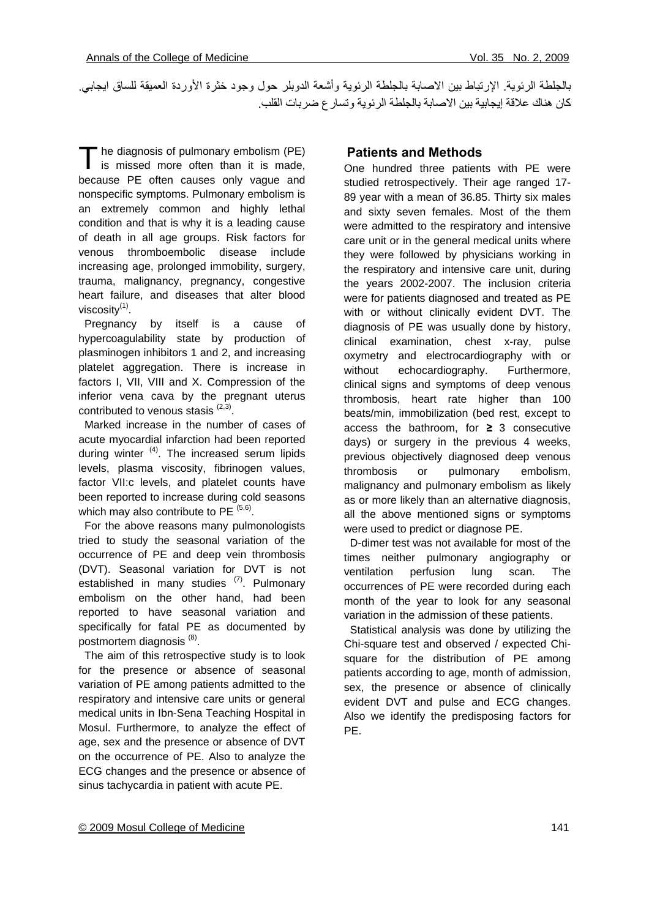بالجلطة الرئوية. الإرتباط بين الاصابة بالجلطة الرئوية وأشعة الدوبلر حول وجود خثرة الأوردة العميقة للساق ايجابي. آان هناك علاقة إيجابية بين الاصابة بالجلطة الرئوية وتسارع ضربات القلب.

<sup>the</sup> diagnosis of pulmonary embolism (PE) The diagnosis of pulmonary embolism (PE) is missed more often than it is made, because PE often causes only vague and nonspecific symptoms. Pulmonary embolism is an extremely common and highly lethal condition and that is why it is a leading cause of death in all age groups. Risk factors for venous thromboembolic disease include increasing age, prolonged immobility, surgery, trauma, malignancy, pregnancy, congestive heart failure, and diseases that alter blood viscosity(1).

 Pregnancy by itself is a cause of hypercoagulability state by production of plasminogen inhibitors 1 and 2, and increasing platelet aggregation. There is increase in factors I, VII, VIII and X. Compression of the inferior vena cava by the pregnant uterus contributed to venous stasis  $(2,3)$ .

 Marked increase in the number of cases of acute myocardial infarction had been reported during winter  $(4)$ . The increased serum lipids levels, plasma viscosity, fibrinogen values, factor VII:c levels, and platelet counts have been reported to increase during cold seasons which may also contribute to PE  $(5,6)$ .

 For the above reasons many pulmonologists tried to study the seasonal variation of the occurrence of PE and deep vein thrombosis (DVT). Seasonal variation for DVT is not established in many studies  $(7)$ . Pulmonary embolism on the other hand, had been reported to have seasonal variation and specifically for fatal PE as documented by postmortem diagnosis (8).

 The aim of this retrospective study is to look for the presence or absence of seasonal variation of PE among patients admitted to the respiratory and intensive care units or general medical units in Ibn-Sena Teaching Hospital in Mosul. Furthermore, to analyze the effect of age, sex and the presence or absence of DVT on the occurrence of PE. Also to analyze the ECG changes and the presence or absence of sinus tachycardia in patient with acute PE.

#### **Patients and Methods**

One hundred three patients with PE were studied retrospectively. Their age ranged 17- 89 year with a mean of 36.85. Thirty six males and sixty seven females. Most of the them were admitted to the respiratory and intensive care unit or in the general medical units where they were followed by physicians working in the respiratory and intensive care unit, during the years 2002-2007. The inclusion criteria were for patients diagnosed and treated as PE with or without clinically evident DVT. The diagnosis of PE was usually done by history, clinical examination, chest x-ray, pulse oxymetry and electrocardiography with or without echocardiography. Furthermore, clinical signs and symptoms of deep venous thrombosis, heart rate higher than 100 beats/min, immobilization (bed rest, except to access the bathroom, for **≥** 3 consecutive days) or surgery in the previous 4 weeks, previous objectively diagnosed deep venous thrombosis or pulmonary embolism, malignancy and pulmonary embolism as likely as or more likely than an alternative diagnosis, all the above mentioned signs or symptoms were used to predict or diagnose PE.

 D-dimer test was not available for most of the times neither pulmonary angiography or ventilation perfusion lung scan. The occurrences of PE were recorded during each month of the year to look for any seasonal variation in the admission of these patients.

 Statistical analysis was done by utilizing the Chi-square test and observed / expected Chisquare for the distribution of PE among patients according to age, month of admission, sex, the presence or absence of clinically evident DVT and pulse and ECG changes. Also we identify the predisposing factors for PE.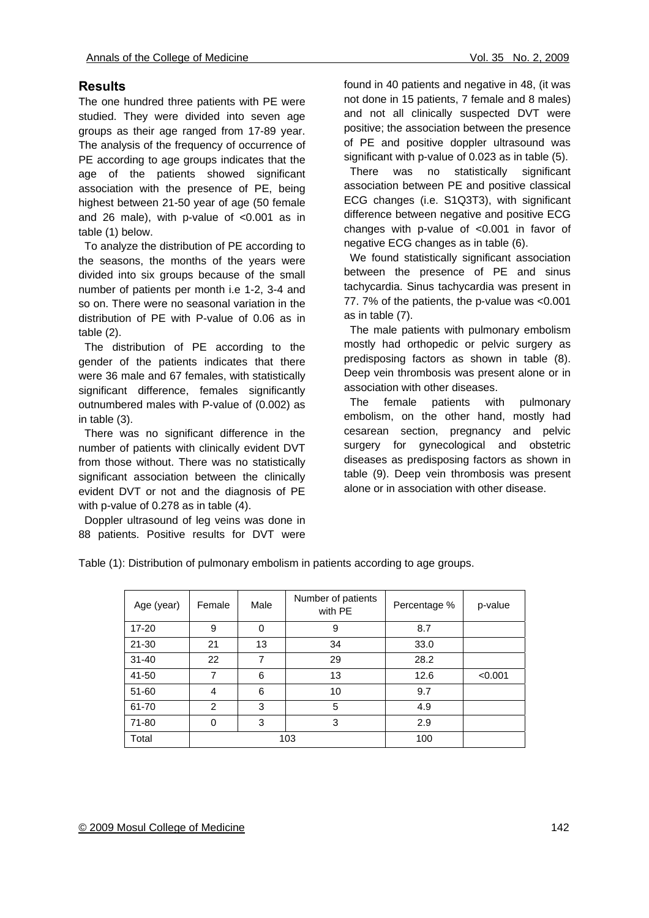## **Results**

The one hundred three patients with PE were studied. They were divided into seven age groups as their age ranged from 17-89 year. The analysis of the frequency of occurrence of PE according to age groups indicates that the age of the patients showed significant association with the presence of PE, being highest between 21-50 year of age (50 female and 26 male), with p-value of <0.001 as in table (1) below.

 To analyze the distribution of PE according to the seasons, the months of the years were divided into six groups because of the small number of patients per month i.e 1-2, 3-4 and so on. There were no seasonal variation in the distribution of PE with P-value of 0.06 as in table (2).

 The distribution of PE according to the gender of the patients indicates that there were 36 male and 67 females, with statistically significant difference, females significantly outnumbered males with P-value of (0.002) as in table (3).

 There was no significant difference in the number of patients with clinically evident DVT from those without. There was no statistically significant association between the clinically evident DVT or not and the diagnosis of PE with p-value of 0.278 as in table (4).

 Doppler ultrasound of leg veins was done in 88 patients. Positive results for DVT were found in 40 patients and negative in 48, (it was not done in 15 patients, 7 female and 8 males) and not all clinically suspected DVT were positive; the association between the presence of PE and positive doppler ultrasound was significant with p-value of 0.023 as in table (5).

 There was no statistically significant association between PE and positive classical ECG changes (i.e. S1Q3T3), with significant difference between negative and positive ECG changes with p-value of <0.001 in favor of negative ECG changes as in table (6).

 We found statistically significant association between the presence of PE and sinus tachycardia. Sinus tachycardia was present in 77. 7% of the patients, the p-value was <0.001 as in table (7).

 The male patients with pulmonary embolism mostly had orthopedic or pelvic surgery as predisposing factors as shown in table (8). Deep vein thrombosis was present alone or in association with other diseases.

 The female patients with pulmonary embolism, on the other hand, mostly had cesarean section, pregnancy and pelvic surgery for gynecological and obstetric diseases as predisposing factors as shown in table (9). Deep vein thrombosis was present alone or in association with other disease.

Age (year)  $\begin{array}{|c|c|c|}\n\hline\n\text{Female} & \text{Male} & \text{Number of patients} \\
\text{with PE} & \text{with PE}\n\end{array}$ Percentage % p-value 17-20 | 9 | 0 | 9 | 8.7 21-30 | 21 | 13 | 34 | 33.0 31-40 22 7 29 28.2 41-50 | 7 | 6 | 13 | 12.6 | <0.001 51-60 4 6 10 9.7 61-70 | 2 | 3 | 5 | 4.9 71-80 0 3 3 2.9 Total | 103 | 100

Table (1): Distribution of pulmonary embolism in patients according to age groups.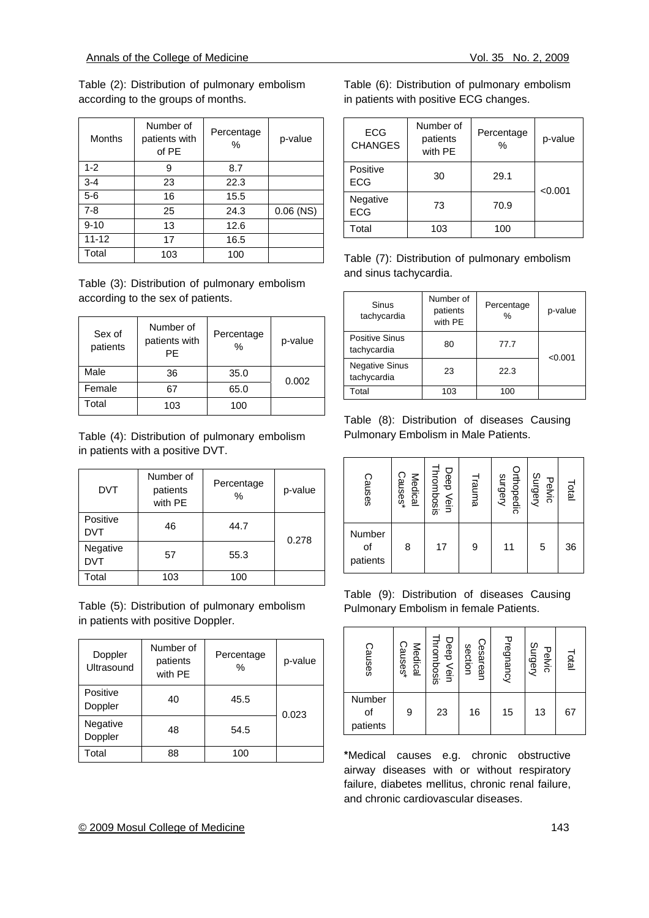Table (2): Distribution of pulmonary embolism according to the groups of months.

| Months    | Number of<br>patients with<br>of PE | Percentage<br>$\%$ | p-value     |
|-----------|-------------------------------------|--------------------|-------------|
| $1 - 2$   | 9                                   | 8.7                |             |
| $3 - 4$   | 23                                  | 22.3               |             |
| $5-6$     | 16                                  | 15.5               |             |
| $7 - 8$   | 25                                  | 24.3               | $0.06$ (NS) |
| $9 - 10$  | 13                                  | 12.6               |             |
| $11 - 12$ | 17                                  | 16.5               |             |
| Total     | 103                                 | 100                |             |

Table (3): Distribution of pulmonary embolism according to the sex of patients.

| Sex of<br>patients | Number of<br>patients with<br>PF | Percentage<br>$\%$ | p-value |  |
|--------------------|----------------------------------|--------------------|---------|--|
| Male               | 36                               | 35.0               | 0.002   |  |
| Female             | 67                               | 65.0               |         |  |
| Total              | 103                              | 100                |         |  |

Table (4): Distribution of pulmonary embolism in patients with a positive DVT.

| <b>DVT</b>             | Number of<br>patients<br>with PE | Percentage<br>$\%$ | p-value |
|------------------------|----------------------------------|--------------------|---------|
| Positive<br><b>DVT</b> | 46                               | 44.7               | 0.278   |
| Negative<br><b>DVT</b> | 57                               | 55.3               |         |
| Total                  | 103                              | 100                |         |

Table (5): Distribution of pulmonary embolism in patients with positive Doppler.

| Doppler<br>Ultrasound | Number of<br>patients<br>with PE | Percentage<br>% | p-value |
|-----------------------|----------------------------------|-----------------|---------|
| Positive<br>Doppler   | 40                               | 45.5            | 0.023   |
| Negative<br>Doppler   | 48                               | 54.5            |         |
| Total                 | 88                               | 100             |         |

Table (6): Distribution of pulmonary embolism in patients with positive ECG changes.

| <b>ECG</b><br><b>CHANGES</b> | Number of<br>patients<br>with PE | Percentage<br>$\%$ | p-value |
|------------------------------|----------------------------------|--------------------|---------|
| Positive<br><b>ECG</b>       | 30                               | 29.1               | < 0.001 |
| Negative<br><b>ECG</b>       | 73                               | 70.9               |         |
| Total                        | 103                              | 100                |         |

Table (7): Distribution of pulmonary embolism and sinus tachycardia.

| Sinus<br>tachycardia                 | Number of<br>patients<br>with PE | Percentage<br>$\%$ | p-value |
|--------------------------------------|----------------------------------|--------------------|---------|
| Positive Sinus<br>tachycardia        | 80                               | 77.7               | < 0.001 |
| <b>Negative Sinus</b><br>tachycardia | 23                               | 22.3               |         |
| Total                                | 103                              | 100                |         |

Table (8): Distribution of diseases Causing Pulmonary Embolism in Male Patients.

| Causes                   | Causes*<br>Medical | Thrombosis<br>Deep Vein | Trauma | Orthopedic<br>Surgery | Surgery<br>Pelvic | Total |
|--------------------------|--------------------|-------------------------|--------|-----------------------|-------------------|-------|
| Number<br>of<br>patients | 8                  | 17                      | 9      | 11                    | 5                 | 36    |

Table (9): Distribution of diseases Causing Pulmonary Embolism in female Patients.

| Causes                   | Medical<br>Causes* | Thrombosis<br>Deep Vein | Cesarean<br>section | Pregnancy | Surgery<br>Pelvic | Total |
|--------------------------|--------------------|-------------------------|---------------------|-----------|-------------------|-------|
| Number<br>of<br>patients | 9                  | 23                      | 16                  | 15        | 13                | 67    |

**\***Medical causes e.g. chronic obstructive airway diseases with or without respiratory failure, diabetes mellitus, chronic renal failure, and chronic cardiovascular diseases.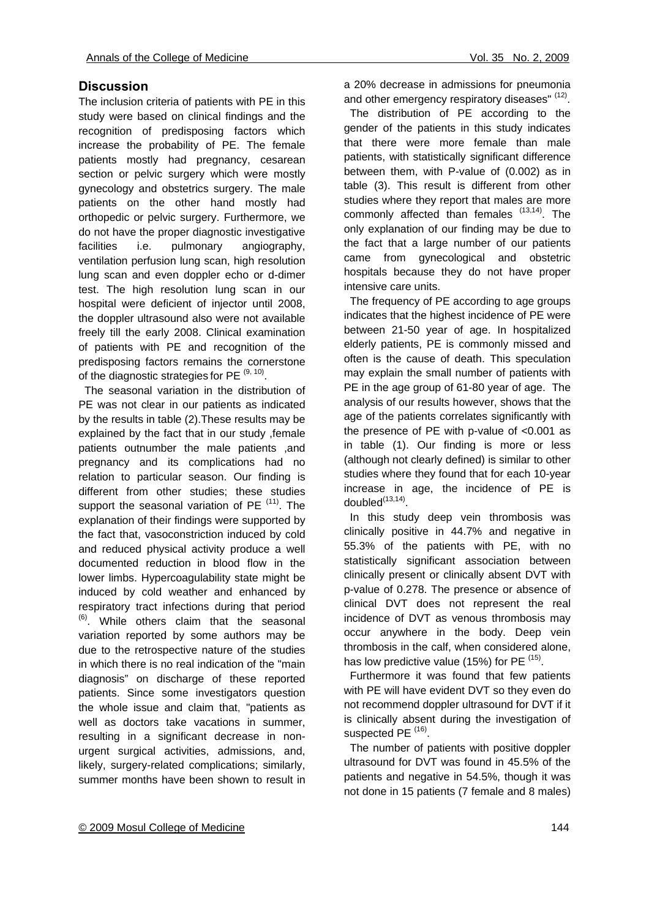## **Discussion**

The inclusion criteria of patients with PE in this study were based on clinical findings and the recognition of predisposing factors which increase the probability of PE. The female patients mostly had pregnancy, cesarean section or pelvic surgery which were mostly gynecology and obstetrics surgery. The male patients on the other hand mostly had orthopedic or pelvic surgery. Furthermore, we do not have the proper diagnostic investigative facilities i.e. pulmonary angiography, ventilation perfusion lung scan, high resolution lung scan and even doppler echo or d-dimer test. The high resolution lung scan in our hospital were deficient of injector until 2008, the doppler ultrasound also were not available freely till the early 2008. Clinical examination of patients with PE and recognition of the predisposing factors remains the cornerstone of the diagnostic strategies for PE  $(9, 10)$ .

 The seasonal variation in the distribution of PE was not clear in our patients as indicated by the results in table (2).These results may be explained by the fact that in our study ,female patients outnumber the male patients ,and pregnancy and its complications had no relation to particular season. Our finding is different from other studies; these studies support the seasonal variation of PE  $(11)$ . The explanation of their findings were supported by the fact that, vasoconstriction induced by cold and reduced physical activity produce a well documented reduction in blood flow in the lower limbs. Hypercoagulability state might be induced by cold weather and enhanced by respiratory tract infections during that period  $<sup>(6)</sup>$ . While others claim that the seasonal</sup> variation reported by some authors may be due to the retrospective nature of the studies in which there is no real indication of the "main diagnosis" on discharge of these reported patients. Since some investigators question the whole issue and claim that, "patients as well as doctors take vacations in summer, resulting in a significant decrease in nonurgent surgical activities, admissions, and, likely, surgery-related complications; similarly, summer months have been shown to result in a 20% decrease in admissions for pneumonia and other emergency respiratory diseases" (12).

 The distribution of PE according to the gender of the patients in this study indicates that there were more female than male patients, with statistically significant difference between them, with P-value of (0.002) as in table (3). This result is different from other studies where they report that males are more commonly affected than females  $(13,14)$ . The only explanation of our finding may be due to the fact that a large number of our patients came from gynecological and obstetric hospitals because they do not have proper intensive care units.

 The frequency of PE according to age groups indicates that the highest incidence of PE were between 21-50 year of age. In hospitalized elderly patients, PE is commonly missed and often is the cause of death. This speculation may explain the small number of patients with PE in the age group of 61-80 year of age. The analysis of our results however, shows that the age of the patients correlates significantly with the presence of PE with p-value of <0.001 as in table (1). Our finding is more or less (although not clearly defined) is similar to other studies where they found that for each 10-year increase in age, the incidence of PE is  $doubled<sup>(13,14)</sup>$ .

 In this study deep vein thrombosis was clinically positive in 44.7% and negative in 55.3% of the patients with PE, with no statistically significant association between clinically present or clinically absent DVT with p-value of 0.278. The presence or absence of clinical DVT does not represent the real incidence of DVT as venous thrombosis may occur anywhere in the body. Deep vein thrombosis in the calf, when considered alone, has low predictive value (15%) for PE  $(15)$ .

 Furthermore it was found that few patients with PE will have evident DVT so they even do not recommend doppler ultrasound for DVT if it is clinically absent during the investigation of suspected PE<sup>(16)</sup>.

 The number of patients with positive doppler ultrasound for DVT was found in 45.5% of the patients and negative in 54.5%, though it was not done in 15 patients (7 female and 8 males)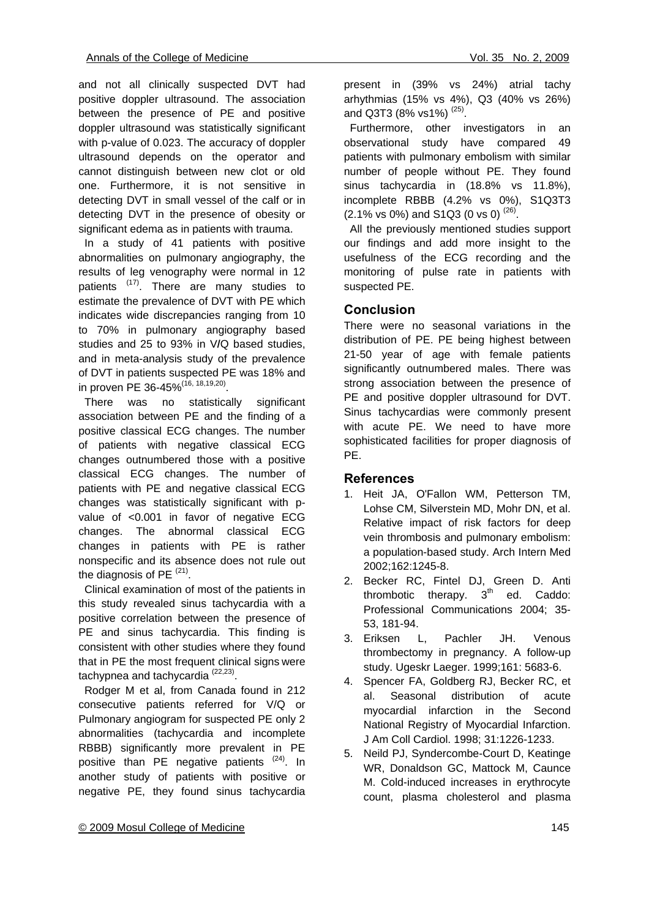and not all clinically suspected DVT had positive doppler ultrasound. The association between the presence of PE and positive doppler ultrasound was statistically significant with p-value of 0.023. The accuracy of doppler ultrasound depends on the operator and cannot distinguish between new clot or old one. Furthermore, it is not sensitive in detecting DVT in small vessel of the calf or in detecting DVT in the presence of obesity or significant edema as in patients with trauma.

 In a study of 41 patients with positive abnormalities on pulmonary angiography, the results of leg venography were normal in 12 patients  $(17)$ . There are many studies to estimate the prevalence of DVT with PE which indicates wide discrepancies ranging from 10 to 70% in pulmonary angiography based studies and 25 to 93% in V**/**Q based studies, and in meta-analysis study of the prevalence of DVT in patients suspected PE was 18% and in proven PE 36-45%(16, 18,19,20).

 There was no statistically significant association between PE and the finding of a positive classical ECG changes. The number of patients with negative classical ECG changes outnumbered those with a positive classical ECG changes. The number of patients with PE and negative classical ECG changes was statistically significant with pvalue of <0.001 in favor of negative ECG changes. The abnormal classical ECG changes in patients with PE is rather nonspecific and its absence does not rule out the diagnosis of PE $(21)$ .

 Clinical examination of most of the patients in this study revealed sinus tachycardia with a positive correlation between the presence of PE and sinus tachycardia. This finding is consistent with other studies where they found that in PE the most frequent clinical signs were tachypnea and tachycardia<sup>(22,23)</sup>.

 Rodger M et al, from Canada found in 212 consecutive patients referred for V/Q or Pulmonary angiogram for suspected PE only 2 abnormalities (tachycardia and incomplete RBBB) significantly more prevalent in PE positive than PE negative patients  $(24)$ . In another study of patients with positive or negative PE, they found sinus tachycardia present in (39% vs 24%) atrial tachy arhythmias (15% vs 4%), Q3 (40% vs 26%) and Q3T3 (8% vs1%)<sup>(25)</sup>.

 Furthermore, other investigators in an observational study have compared 49 patients with pulmonary embolism with similar number of people without PE. They found sinus tachycardia in (18.8% vs 11.8%), incomplete RBBB (4.2% vs 0%), S1Q3T3  $(2.1\% \text{ vs } 0\%)$  and S1Q3 (0 vs 0)  $^{(26)}$ .

 All the previously mentioned studies support our findings and add more insight to the usefulness of the ECG recording and the monitoring of pulse rate in patients with suspected PE.

## **Conclusion**

There were no seasonal variations in the distribution of PE. PE being highest between 21-50 year of age with female patients significantly outnumbered males. There was strong association between the presence of PE and positive doppler ultrasound for DVT. Sinus tachycardias were commonly present with acute PE. We need to have more sophisticated facilities for proper diagnosis of PE.

#### **References**

- 1. Heit JA, O'Fallon WM, Petterson TM, Lohse CM, Silverstein MD, Mohr DN, et al. Relative impact of risk factors for deep vein thrombosis and pulmonary embolism: a population-based study. Arch Intern Med 2002;162:1245-8.
- 2. Becker RC, Fintel DJ, Green D. Anti thrombotic therapy.  $3<sup>th</sup>$  ed. Caddo: Professional Communications 2004; 35- 53, 181-94.
- 3. Eriksen L, Pachler JH. Venous thrombectomy in pregnancy. A follow-up study. Ugeskr Laeger. 1999;161: 5683-6.
- 4. Spencer FA, Goldberg RJ, Becker RC, et al. Seasonal distribution of acute myocardial infarction in the Second National Registry of Myocardial Infarction. J Am Coll Cardiol. 1998; 31:1226-1233.
- 5. Neild PJ, Syndercombe-Court D, Keatinge WR, Donaldson GC, Mattock M, Caunce M. Cold-induced increases in erythrocyte count, plasma cholesterol and plasma

#### © 2009 Mosul College of Medicine 145